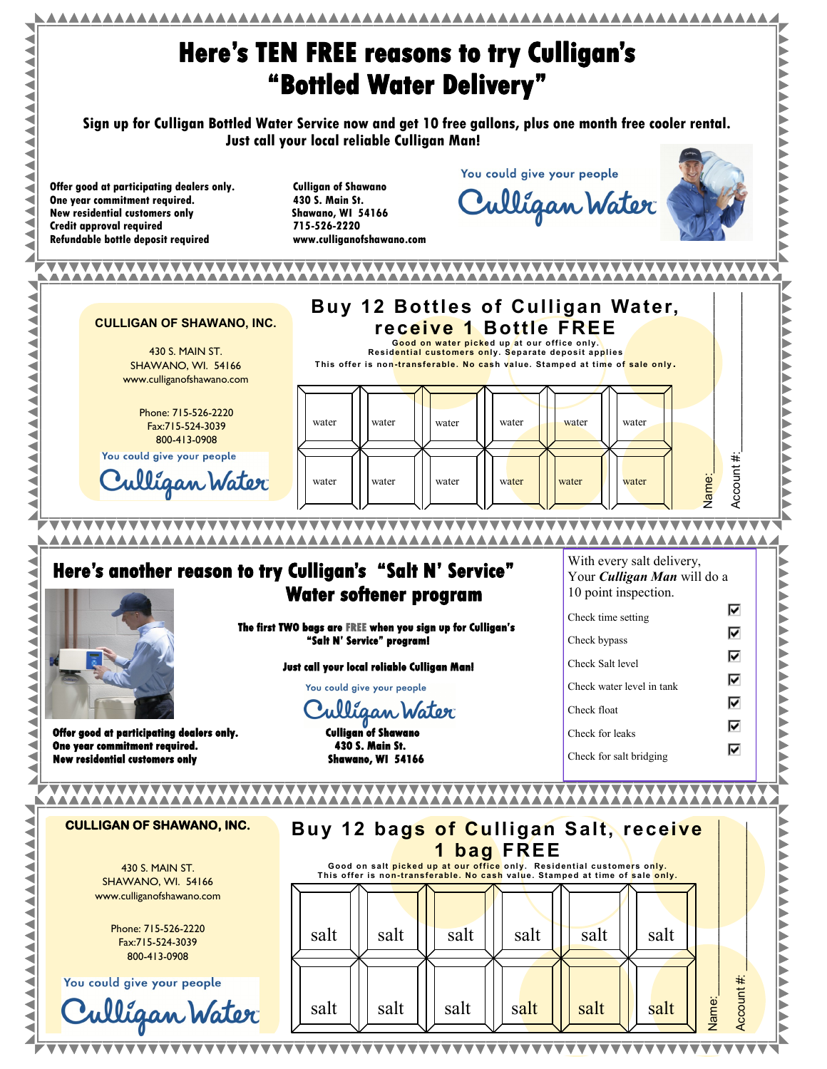